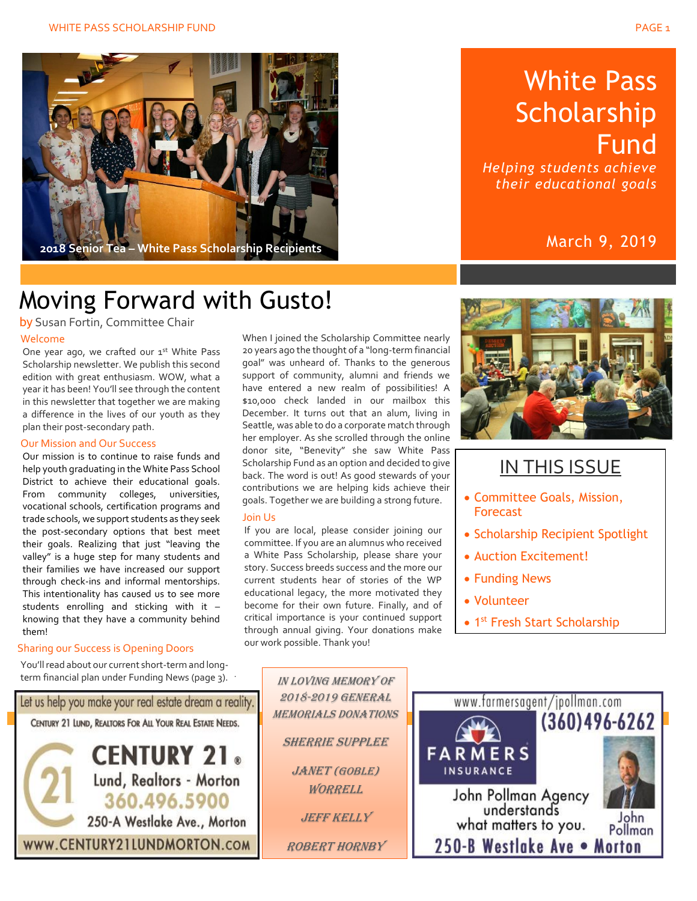

## Moving Forward with Gusto!

Welcome by Susan Fortin, Committee Chair

One year ago, we crafted our 1st White Pass Scholarship newsletter. We publish this second edition with great enthusiasm. WOW, what a year it has been! You'll see through the content in this newsletter that together we are making a difference in the lives of our youth as they plan their post-secondary path.

#### Our Mission and Our Success

Our mission is to continue to raise funds and help youth graduating in the White Pass School District to achieve their educational goals. From community colleges, universities, vocational schools, certification programs and trade schools, we support students as they seek the post-secondary options that best meet their goals. Realizing that just "leaving the valley" is a huge step for many students and their families we have increased our support through check-ins and informal mentorships. This intentionality has caused us to see more students enrolling and sticking with it – knowing that they have a community behind them!

#### Sharing our Success is Opening Doors

You'll read about our current short-term and longterm financial plan under Funding News (page 3).

Let us help you make your real estate dream a reality. CENTURY 21 LUND, REALTORS FOR ALL YOUR REAL ESTATE NEEDS. **CENTURY 21.** Lund, Realtors - Morton 360.496.5900 250-A Westlake Ave., Morton

WWW.CENTURY21LUNDMORTON.com

When I joined the Scholarship Committee nearly 20 years ago the thought of a "long-term financial goal" was unheard of. Thanks to the generous support of community, alumni and friends we have entered a new realm of possibilities! A \$10,000 check landed in our mailbox this December. It turns out that an alum, living in Seattle, was able to do a corporate match through her employer. As she scrolled through the online donor site, "Benevity" she saw White Pass Scholarship Fund as an option and decided to give back. The word is out! As good stewards of your contributions we are helping kids achieve their goals. Together we are building a strong future.

#### Join Us

.

If you are local, please consider joining our committee. If you are an alumnus who received a White Pass Scholarship, please share your story. Success breeds success and the more our current students hear of stories of the WP educational legacy, the more motivated they become for their own future. Finally, and of critical importance is your continued support through annual giving. Your donations make our work possible. Thank you!



### IN THIS ISSUE

- Committee Goals, Mission, Forecast
- Scholarship Recipient Spotlight
- Auction Excitement!
- Funding News
- Volunteer
- 1<sup>st</sup> Fresh Start Scholarship



Robert Hornby

IN LOVING MEMORY OF 2018-2019 General



# White Pass Scholarship **Fund**

*Helping students achieve their educational goals*

### March 9, 2019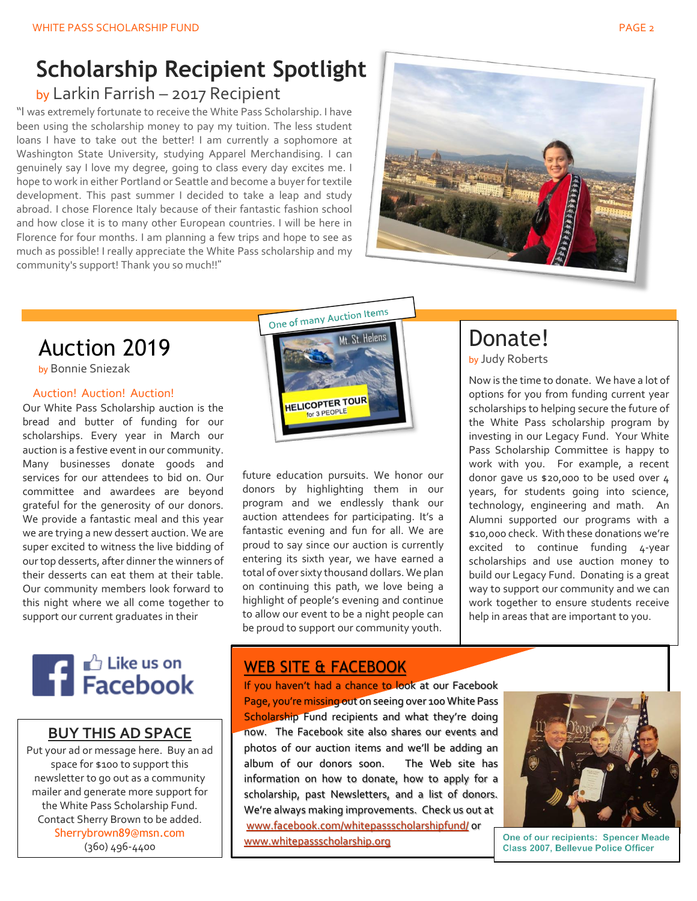# **Scholarship Recipient Spotlight**

### by Larkin Farrish – 2017 Recipient

"I was extremely fortunate to receive the White Pass Scholarship. I have been using the scholarship money to pay my tuition. The less student loans I have to take out the better! I am currently a sophomore at Washington State University, studying Apparel Merchandising. I can genuinely say I love my degree, going to class every day excites me. I hope to work in either Portland or Seattle and become a buyer for textile development. This past summer I decided to take a leap and study abroad. I chose Florence Italy because of their fantastic fashion school and how close it is to many other European countries. I will be here in Florence for four months. I am planning a few trips and hope to see as much as possible! I really appreciate the White Pass scholarship and my community's support! Thank you so much!!"



One of many Auction Items

### Auction 2019

by Bonnie Sniezak

#### Auction! Auction! Auction!

Our White Pass Scholarship auction is the bread and butter of funding for our scholarships. Every year in March our auction is a festive event in our community. Many businesses donate goods and services for our attendees to bid on. Our committee and awardees are beyond grateful for the generosity of our donors. We provide a fantastic meal and this year we are trying a new dessert auction. We are super excited to witness the live bidding of our top desserts, after dinner the winners of their desserts can eat them at their table. Our community members look forward to this night where we all come together to support our current graduates in their



### **BUY THIS AD SPACE**

Put your ad or message here. Buy an ad space for \$100 to support this newsletter to go out as a community mailer and generate more support for the White Pass Scholarship Fund. Contact Sherry Brown to be added. [Sherrybrown89@msn.com](mailto:Sherrybrown89@msn.com) (360) 496-4400



future education pursuits. We honor our donors by highlighting them in our program and we endlessly thank our auction attendees for participating. It's a fantastic evening and fun for all. We are proud to say since our auction is currently entering its sixth year, we have earned a total of over sixty thousand dollars. We plan on continuing this path, we love being a highlight of people's evening and continue to allow our event to be a night people can be proud to support our community youth.

## Donate!

by Judy Roberts

Now is the time to donate. We have a lot of options for you from funding current year scholarships to helping secure the future of the White Pass scholarship program by investing in our Legacy Fund. Your White Pass Scholarship Committee is happy to work with you. For example, a recent donor gave us \$20,000 to be used over 4 years, for students going into science, technology, engineering and math. An Alumni supported our programs with a \$10,000 check. With these donations we're excited to continue funding 4-year scholarships and use auction money to build our Legacy Fund. Donating is a great way to support our community and we can work together to ensure students receive help in areas that are important to you.

### WEB SITE & FACEBOOK

If you haven't had a chance to look at our Facebook Page, you're missing out on seeing over 100 White Pass Scholarship Fund recipients and what they're doing now. The Facebook site also shares our events and photos of our auction items and we'll be adding an album of our donors soon. The Web site has information on how to donate, how to apply for a scholarship, past Newsletters, and a list of donors. We're always making improvements. Check us out at [www.facebook.com/whitepassscholarshipfund/](http://www.facebook.com/whitepassscholarshipfund/) or [www.whitepassscholarship.org](http://www.whitepassscholarship.org/)



One of our recipients: Spencer Meade Class 2007. Bellevue Police Officer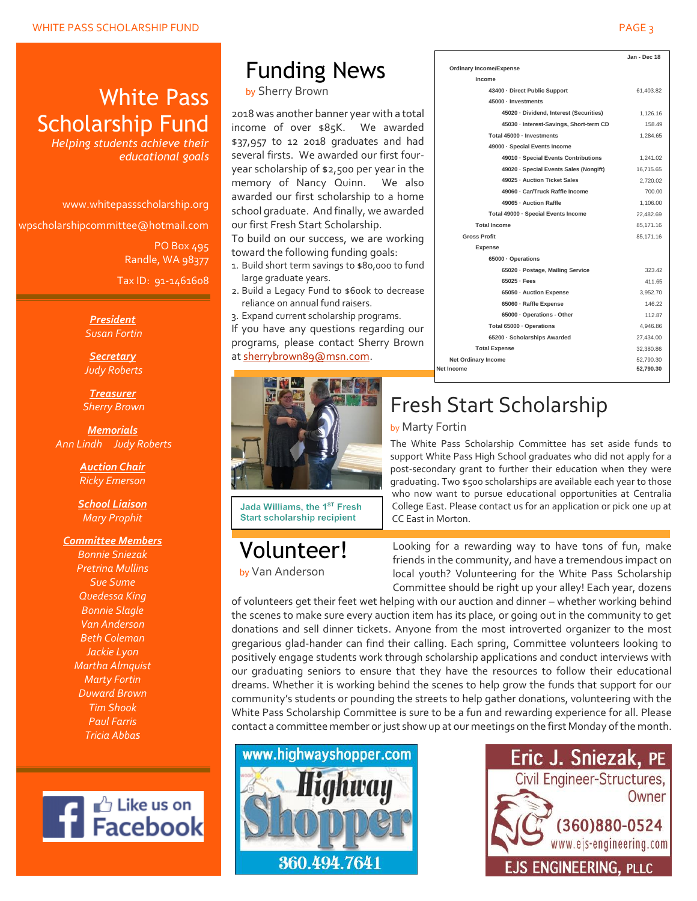### White Pass Scholarship Fund

*Helping students achieve their educational goals*

www.whitepassscholarship.org

wpscholarshipcommittee@hotmail.com

PO Box 495 Randle, WA 98377 Tax ID: 91-1461608

*President Susan Fortin*

*Secretary Judy Roberts*

*Treasurer Sherry Brown*

*Memorials Ann Lindh Judy Roberts*

> *Auction Chair Ricky Emerson*

*School Liaison Mary Prophit*

#### *Committee Members*

*Bonnie Sniezak Pretrina Mullins Sue Sume Quedessa King Bonnie Slagle Van Anderson Beth Coleman Jackie Lyon Martha Almquist Marty Fortin Duward Brown Tim Shook Paul Farris Tricia Abbas*



# Funding News

by Sherry Brown

2018 was another banner year with a total income of over \$85K. We awarded \$37,957 to 12 2018 graduates and had several firsts. We awarded our first fouryear scholarship of \$2,500 per year in the memory of Nancy Quinn. We also awarded our first scholarship to a home school graduate. And finally, we awarded our first Fresh Start Scholarship.

To build on our success, we are working toward the following funding goals:

- 1. Build short term savings to \$80,000 to fund large graduate years.
- 2. Build a Legacy Fund to \$600k to decrease reliance on annual fund raisers.

3. Expand current scholarship programs. If you have any questions regarding our programs, please contact Sherry Brown at [sherrybrown89@msn.com.](mailto:sherrybrown89@msn.com)



Volunteer! by Van Anderson

Jada Williams, the 1ST Fresh **Start scholarship recipient** 

Fresh Start Scholarship by Marty Fortin

The White Pass Scholarship Committee has set aside funds to support White Pass High School graduates who did not apply for a post-secondary grant to further their education when they were graduating. Two \$500 scholarships are available each year to those who now want to pursue educational opportunities at Centralia College East. Please contact us for an application or pick one up at CC East in Morton.

Looking for a rewarding way to have tons of fun, make friends in the community, and have a tremendous impact on local youth? Volunteering for the White Pass Scholarship Committee should be right up your alley! Each year, dozens

of volunteers get their feet wet helping with our auction and dinner – whether working behind the scenes to make sure every auction item has its place, or going out in the community to get donations and sell dinner tickets. Anyone from the most introverted organizer to the most gregarious glad-hander can find their calling. Each spring, Committee volunteers looking to positively engage students work through scholarship applications and conduct interviews with our graduating seniors to ensure that they have the resources to follow their educational dreams. Whether it is working behind the scenes to help grow the funds that support for our community's students or pounding the streets to help gather donations, volunteering with the White Pass Scholarship Committee is sure to be a fun and rewarding experience for all. Please contact a committee member or just show up at our meetings on the first Monday of the month.





#### **Jan - Dec 18 Ordinary Income/Expense Income 43400 · Direct Public Support** 61,403.82 **45000 · Investments 45020 · Dividend, Interest (Securities)** 1,126.16 **45030 · Interest-Savings, Short-term CD** 158.49 **Total 45000 · Investments** 1,284.65 **49000 · Special Events Income 49010 · Special Events Contributions** 1,241.02 **49020 · Special Events Sales (Nongift)** 16,715.65 **49025 · Auction Ticket Sales** 2,720.02 **49060 · Car/Truck Raffle Income** 700.00 **49065 · Auction Raffle** 1,106.00 **Total 49000 · Special Events Income** 22,482.69 **Total Income** 85,171.16 **Gross Profit** 85,171.16 **Expense 65000 · Operations 65020 · Postage, Mailing Service** 323.42 **65025 · Fees** 411.65 **65050 · Auction Expense** 3,952.70 **65060 · Raffle Expense** 146.22 **65000 · Operations - Other** 112.87 **Total 65000 · Operations** 4,946.86 **65200 · Scholarships Awarded** 27,434.00 **Total Expense** 32,380.86 **Net Ordinary Income** 52,790.30 **Net Income 52,790.30**